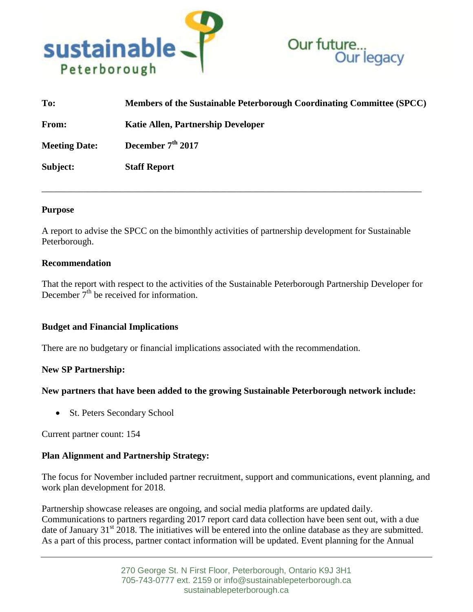



| To:                  | Members of the Sustainable Peterborough Coordinating Committee (SPCC) |
|----------------------|-----------------------------------------------------------------------|
| From:                | Katie Allen, Partnership Developer                                    |
| <b>Meeting Date:</b> | December $7th 2017$                                                   |
| Subject:             | <b>Staff Report</b>                                                   |

\_\_\_\_\_\_\_\_\_\_\_\_\_\_\_\_\_\_\_\_\_\_\_\_\_\_\_\_\_\_\_\_\_\_\_\_\_\_\_\_\_\_\_\_\_\_\_\_\_\_\_\_\_\_\_\_\_\_\_\_\_\_\_\_\_\_\_\_\_\_\_\_\_\_\_\_\_\_\_\_\_\_

### **Purpose**

A report to advise the SPCC on the bimonthly activities of partnership development for Sustainable Peterborough.

### **Recommendation**

That the report with respect to the activities of the Sustainable Peterborough Partnership Developer for December  $7<sup>th</sup>$  be received for information.

## **Budget and Financial Implications**

There are no budgetary or financial implications associated with the recommendation.

## **New SP Partnership:**

## **New partners that have been added to the growing Sustainable Peterborough network include:**

• St. Peters Secondary School

Current partner count: 154

## **Plan Alignment and Partnership Strategy:**

The focus for November included partner recruitment, support and communications, event planning, and work plan development for 2018.

Partnership showcase releases are ongoing, and social media platforms are updated daily. Communications to partners regarding 2017 report card data collection have been sent out, with a due date of January  $31<sup>st</sup>$  2018. The initiatives will be entered into the online database as they are submitted. As a part of this process, partner contact information will be updated. Event planning for the Annual